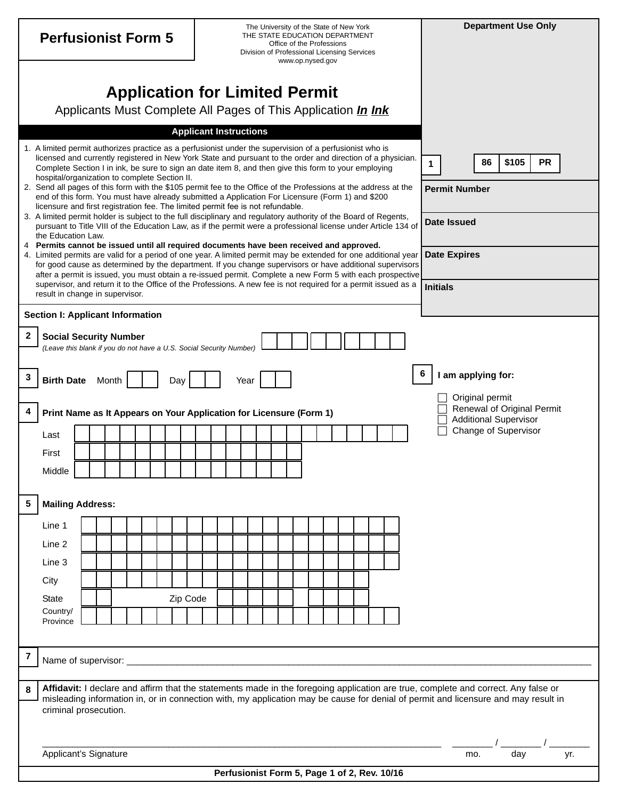| <b>Perfusionist Form 5</b>                                                                                                                        |                                                                                                                                                                                                                                                                                                                                                                                                                                      |  |  |  |  |  |  | The University of the State of New York<br>THE STATE EDUCATION DEPARTMENT<br>Office of the Professions<br>Division of Professional Licensing Services<br>www.op.nysed.gov |  |                 |                     |                    |                      |     |                                                            |    |       |  | <b>Department Use Only</b> |  |  |  |  |  |  |  |  |                      |  |  |  |
|---------------------------------------------------------------------------------------------------------------------------------------------------|--------------------------------------------------------------------------------------------------------------------------------------------------------------------------------------------------------------------------------------------------------------------------------------------------------------------------------------------------------------------------------------------------------------------------------------|--|--|--|--|--|--|---------------------------------------------------------------------------------------------------------------------------------------------------------------------------|--|-----------------|---------------------|--------------------|----------------------|-----|------------------------------------------------------------|----|-------|--|----------------------------|--|--|--|--|--|--|--|--|----------------------|--|--|--|
| <b>Application for Limited Permit</b><br>Applicants Must Complete All Pages of This Application <i>In Ink</i>                                     |                                                                                                                                                                                                                                                                                                                                                                                                                                      |  |  |  |  |  |  |                                                                                                                                                                           |  |                 |                     |                    |                      |     |                                                            |    |       |  |                            |  |  |  |  |  |  |  |  |                      |  |  |  |
|                                                                                                                                                   | <b>Applicant Instructions</b>                                                                                                                                                                                                                                                                                                                                                                                                        |  |  |  |  |  |  |                                                                                                                                                                           |  |                 |                     |                    |                      |     |                                                            |    |       |  |                            |  |  |  |  |  |  |  |  |                      |  |  |  |
|                                                                                                                                                   | 1. A limited permit authorizes practice as a perfusionist under the supervision of a perfusionist who is<br>licensed and currently registered in New York State and pursuant to the order and direction of a physician.<br>Complete Section I in ink, be sure to sign an date item 8, and then give this form to your employing<br>hospital/organization to complete Section II.                                                     |  |  |  |  |  |  |                                                                                                                                                                           |  |                 |                     | 1                  |                      |     |                                                            | 86 | \$105 |  | <b>PR</b>                  |  |  |  |  |  |  |  |  |                      |  |  |  |
|                                                                                                                                                   | 2. Send all pages of this form with the \$105 permit fee to the Office of the Professions at the address at the<br>end of this form. You must have already submitted a Application For Licensure (Form 1) and \$200<br>licensure and first registration fee. The limited permit fee is not refundable.                                                                                                                               |  |  |  |  |  |  |                                                                                                                                                                           |  |                 |                     |                    | <b>Permit Number</b> |     |                                                            |    |       |  |                            |  |  |  |  |  |  |  |  |                      |  |  |  |
|                                                                                                                                                   | 3. A limited permit holder is subject to the full disciplinary and regulatory authority of the Board of Regents,<br>pursuant to Title VIII of the Education Law, as if the permit were a professional license under Article 134 of<br>the Education Law.                                                                                                                                                                             |  |  |  |  |  |  |                                                                                                                                                                           |  |                 |                     | <b>Date Issued</b> |                      |     |                                                            |    |       |  |                            |  |  |  |  |  |  |  |  |                      |  |  |  |
|                                                                                                                                                   | 4 Permits cannot be issued until all required documents have been received and approved.<br>4. Limited permits are valid for a period of one year. A limited permit may be extended for one additional year<br>for good cause as determined by the department. If you change supervisors or have additional supervisors<br>after a permit is issued, you must obtain a re-issued permit. Complete a new Form 5 with each prospective |  |  |  |  |  |  |                                                                                                                                                                           |  |                 | <b>Date Expires</b> |                    |                      |     |                                                            |    |       |  |                            |  |  |  |  |  |  |  |  |                      |  |  |  |
| supervisor, and return it to the Office of the Professions. A new fee is not required for a permit issued as a<br>result in change in supervisor. |                                                                                                                                                                                                                                                                                                                                                                                                                                      |  |  |  |  |  |  |                                                                                                                                                                           |  | <b>Initials</b> |                     |                    |                      |     |                                                            |    |       |  |                            |  |  |  |  |  |  |  |  |                      |  |  |  |
| <b>Section I: Applicant Information</b>                                                                                                           |                                                                                                                                                                                                                                                                                                                                                                                                                                      |  |  |  |  |  |  |                                                                                                                                                                           |  |                 |                     |                    |                      |     |                                                            |    |       |  |                            |  |  |  |  |  |  |  |  |                      |  |  |  |
| 2<br><b>Social Security Number</b><br>(Leave this blank if you do not have a U.S. Social Security Number)                                         |                                                                                                                                                                                                                                                                                                                                                                                                                                      |  |  |  |  |  |  |                                                                                                                                                                           |  |                 |                     |                    |                      |     |                                                            |    |       |  |                            |  |  |  |  |  |  |  |  |                      |  |  |  |
|                                                                                                                                                   |                                                                                                                                                                                                                                                                                                                                                                                                                                      |  |  |  |  |  |  |                                                                                                                                                                           |  |                 |                     |                    |                      |     |                                                            |    |       |  |                            |  |  |  |  |  |  |  |  |                      |  |  |  |
| 3                                                                                                                                                 | <b>Birth Date</b><br>Month<br>Day<br>Year                                                                                                                                                                                                                                                                                                                                                                                            |  |  |  |  |  |  |                                                                                                                                                                           |  |                 |                     |                    | I am applying for:   |     |                                                            |    |       |  |                            |  |  |  |  |  |  |  |  |                      |  |  |  |
| 4                                                                                                                                                 | Print Name as It Appears on Your Application for Licensure (Form 1)                                                                                                                                                                                                                                                                                                                                                                  |  |  |  |  |  |  |                                                                                                                                                                           |  |                 | Original permit     |                    |                      |     | Renewal of Original Permit<br><b>Additional Supervisor</b> |    |       |  |                            |  |  |  |  |  |  |  |  |                      |  |  |  |
|                                                                                                                                                   | Last                                                                                                                                                                                                                                                                                                                                                                                                                                 |  |  |  |  |  |  |                                                                                                                                                                           |  |                 |                     |                    |                      |     |                                                            |    |       |  |                            |  |  |  |  |  |  |  |  | Change of Supervisor |  |  |  |
|                                                                                                                                                   | First                                                                                                                                                                                                                                                                                                                                                                                                                                |  |  |  |  |  |  |                                                                                                                                                                           |  |                 |                     |                    |                      |     |                                                            |    |       |  |                            |  |  |  |  |  |  |  |  |                      |  |  |  |
|                                                                                                                                                   | Middle                                                                                                                                                                                                                                                                                                                                                                                                                               |  |  |  |  |  |  |                                                                                                                                                                           |  |                 |                     |                    |                      |     |                                                            |    |       |  |                            |  |  |  |  |  |  |  |  |                      |  |  |  |
| 5                                                                                                                                                 | <b>Mailing Address:</b>                                                                                                                                                                                                                                                                                                                                                                                                              |  |  |  |  |  |  |                                                                                                                                                                           |  |                 |                     |                    |                      |     |                                                            |    |       |  |                            |  |  |  |  |  |  |  |  |                      |  |  |  |
|                                                                                                                                                   | Line 1                                                                                                                                                                                                                                                                                                                                                                                                                               |  |  |  |  |  |  |                                                                                                                                                                           |  |                 |                     |                    |                      |     |                                                            |    |       |  |                            |  |  |  |  |  |  |  |  |                      |  |  |  |
|                                                                                                                                                   | Line 2                                                                                                                                                                                                                                                                                                                                                                                                                               |  |  |  |  |  |  |                                                                                                                                                                           |  |                 |                     |                    |                      |     |                                                            |    |       |  |                            |  |  |  |  |  |  |  |  |                      |  |  |  |
|                                                                                                                                                   | Line 3                                                                                                                                                                                                                                                                                                                                                                                                                               |  |  |  |  |  |  |                                                                                                                                                                           |  |                 |                     |                    |                      |     |                                                            |    |       |  |                            |  |  |  |  |  |  |  |  |                      |  |  |  |
|                                                                                                                                                   | City                                                                                                                                                                                                                                                                                                                                                                                                                                 |  |  |  |  |  |  |                                                                                                                                                                           |  |                 |                     |                    |                      |     |                                                            |    |       |  |                            |  |  |  |  |  |  |  |  |                      |  |  |  |
|                                                                                                                                                   | Zip Code<br><b>State</b>                                                                                                                                                                                                                                                                                                                                                                                                             |  |  |  |  |  |  |                                                                                                                                                                           |  |                 |                     |                    |                      |     |                                                            |    |       |  |                            |  |  |  |  |  |  |  |  |                      |  |  |  |
|                                                                                                                                                   | Country/<br>Province                                                                                                                                                                                                                                                                                                                                                                                                                 |  |  |  |  |  |  |                                                                                                                                                                           |  |                 |                     |                    |                      |     |                                                            |    |       |  |                            |  |  |  |  |  |  |  |  |                      |  |  |  |
|                                                                                                                                                   |                                                                                                                                                                                                                                                                                                                                                                                                                                      |  |  |  |  |  |  |                                                                                                                                                                           |  |                 |                     |                    |                      |     |                                                            |    |       |  |                            |  |  |  |  |  |  |  |  |                      |  |  |  |
| 7                                                                                                                                                 |                                                                                                                                                                                                                                                                                                                                                                                                                                      |  |  |  |  |  |  |                                                                                                                                                                           |  |                 |                     |                    |                      |     |                                                            |    |       |  |                            |  |  |  |  |  |  |  |  |                      |  |  |  |
| 8                                                                                                                                                 | Affidavit: I declare and affirm that the statements made in the foregoing application are true, complete and correct. Any false or                                                                                                                                                                                                                                                                                                   |  |  |  |  |  |  |                                                                                                                                                                           |  |                 |                     |                    |                      |     |                                                            |    |       |  |                            |  |  |  |  |  |  |  |  |                      |  |  |  |
|                                                                                                                                                   | misleading information in, or in connection with, my application may be cause for denial of permit and licensure and may result in<br>criminal prosecution.                                                                                                                                                                                                                                                                          |  |  |  |  |  |  |                                                                                                                                                                           |  |                 |                     |                    |                      |     |                                                            |    |       |  |                            |  |  |  |  |  |  |  |  |                      |  |  |  |
|                                                                                                                                                   |                                                                                                                                                                                                                                                                                                                                                                                                                                      |  |  |  |  |  |  |                                                                                                                                                                           |  |                 |                     |                    |                      |     |                                                            |    |       |  |                            |  |  |  |  |  |  |  |  |                      |  |  |  |
|                                                                                                                                                   | Applicant's Signature<br>Perfusionist Form 5, Page 1 of 2, Rev. 10/16                                                                                                                                                                                                                                                                                                                                                                |  |  |  |  |  |  |                                                                                                                                                                           |  |                 |                     |                    |                      | mo. |                                                            |    | day   |  | yr.                        |  |  |  |  |  |  |  |  |                      |  |  |  |
|                                                                                                                                                   |                                                                                                                                                                                                                                                                                                                                                                                                                                      |  |  |  |  |  |  |                                                                                                                                                                           |  |                 |                     |                    |                      |     |                                                            |    |       |  |                            |  |  |  |  |  |  |  |  |                      |  |  |  |